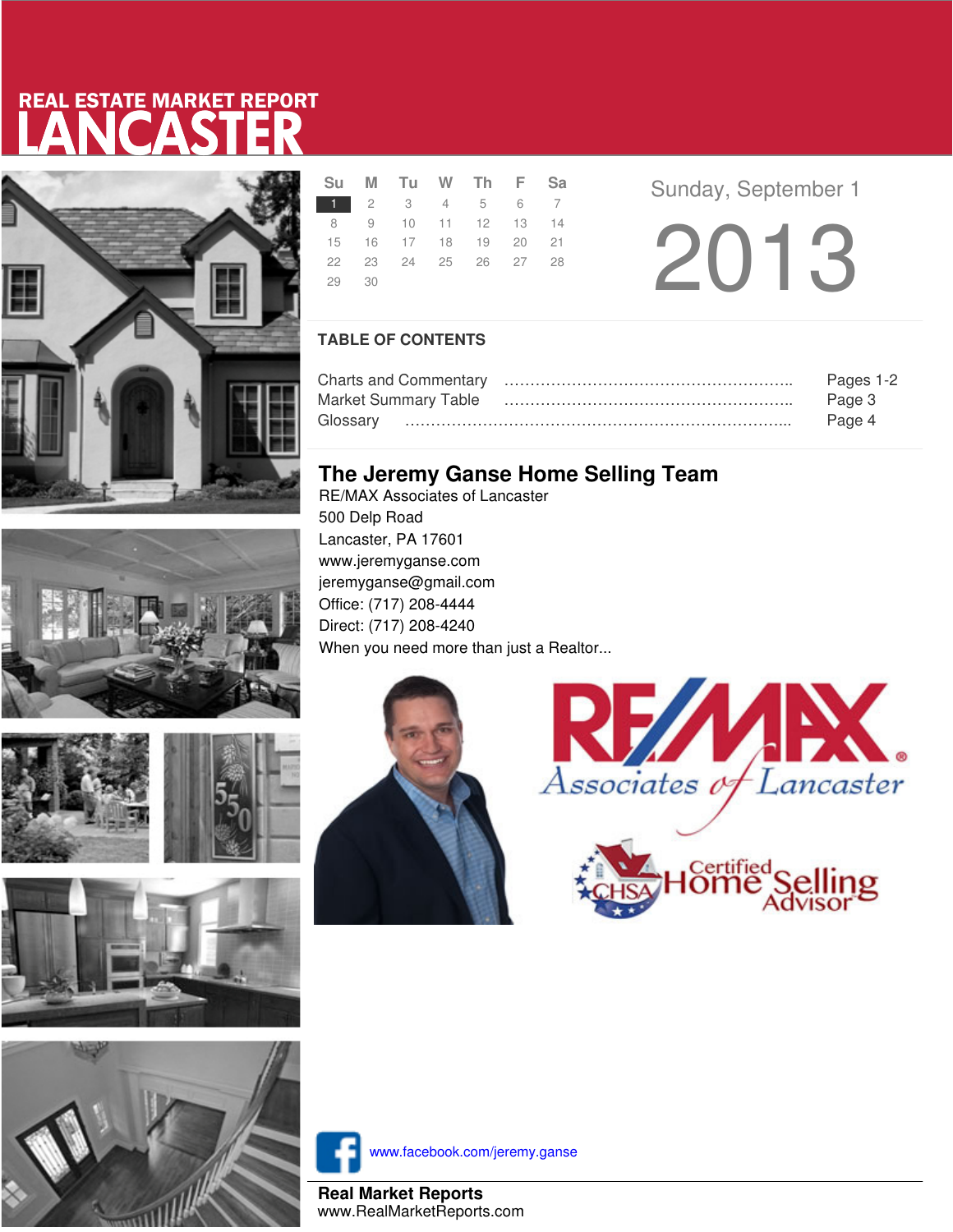# LANCASTER REAL ESTATE MARKET REPORT









|       | Su M Tu W Th F Sa    |  |  |
|-------|----------------------|--|--|
|       | 1 2 3 4 5 6 7        |  |  |
|       | 8 9 10 11 12 13 14   |  |  |
|       | 15 16 17 18 19 20 21 |  |  |
|       | 22 23 24 25 26 27 28 |  |  |
| 29 30 |                      |  |  |
|       |                      |  |  |

**Sunday, September 1** 

2013

### **TABLE OF CONTENTS**

| Pages 1-2 |
|-----------|
| Page 3    |
| Page 4    |

## **The Jeremy Ganse Home Selling Team**

RE/MAX Associates of Lancaster 500 Delp Road Lancaster, PA 17601 www.jeremyganse.com jeremyganse@gmail.com Office: (717) 208-4444 Direct: (717) 208-4240 When you need more than just a Realtor...







www.facebook.com/jeremy.ganse

**Real Market Reports** www.RealMarketReports.com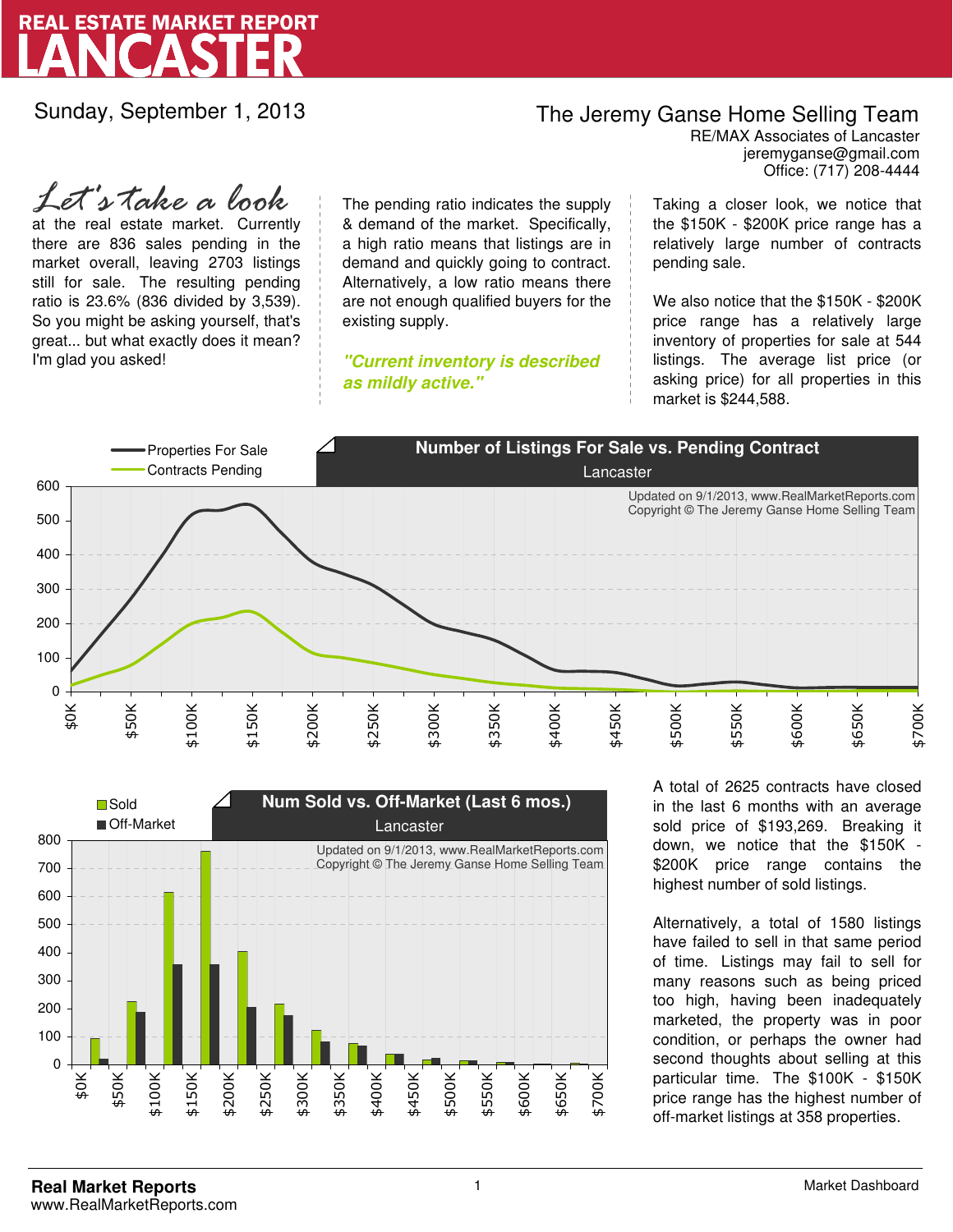

Sunday, September 1, 2013

## The Jeremy Ganse Home Selling Team

jeremyganse@gmail.com RE/MAX Associates of Lancaster Office: (717) 208-4444

at the real estate market. Currently there are 836 sales pending in the market overall, leaving 2703 listings still for sale. The resulting pending ratio is 23.6% (836 divided by 3,539). So you might be asking yourself, that's great... but what exactly does it mean? I'm glad you asked! *Let's take a look*

The pending ratio indicates the supply & demand of the market. Specifically, a high ratio means that listings are in demand and quickly going to contract. Alternatively, a low ratio means there are not enough qualified buyers for the existing supply.

**"Current inventory is described as mildly active."**

Taking a closer look, we notice that the \$150K - \$200K price range has a relatively large number of contracts pending sale.

We also notice that the \$150K - \$200K price range has a relatively large inventory of properties for sale at 544 listings. The average list price (or asking price) for all properties in this market is \$244,588.





A total of 2625 contracts have closed in the last 6 months with an average sold price of \$193,269. Breaking it down, we notice that the \$150K - \$200K price range contains the highest number of sold listings.

Alternatively, a total of 1580 listings have failed to sell in that same period of time. Listings may fail to sell for many reasons such as being priced too high, having been inadequately marketed, the property was in poor condition, or perhaps the owner had second thoughts about selling at this particular time. The \$100K - \$150K price range has the highest number of off-market listings at 358 properties.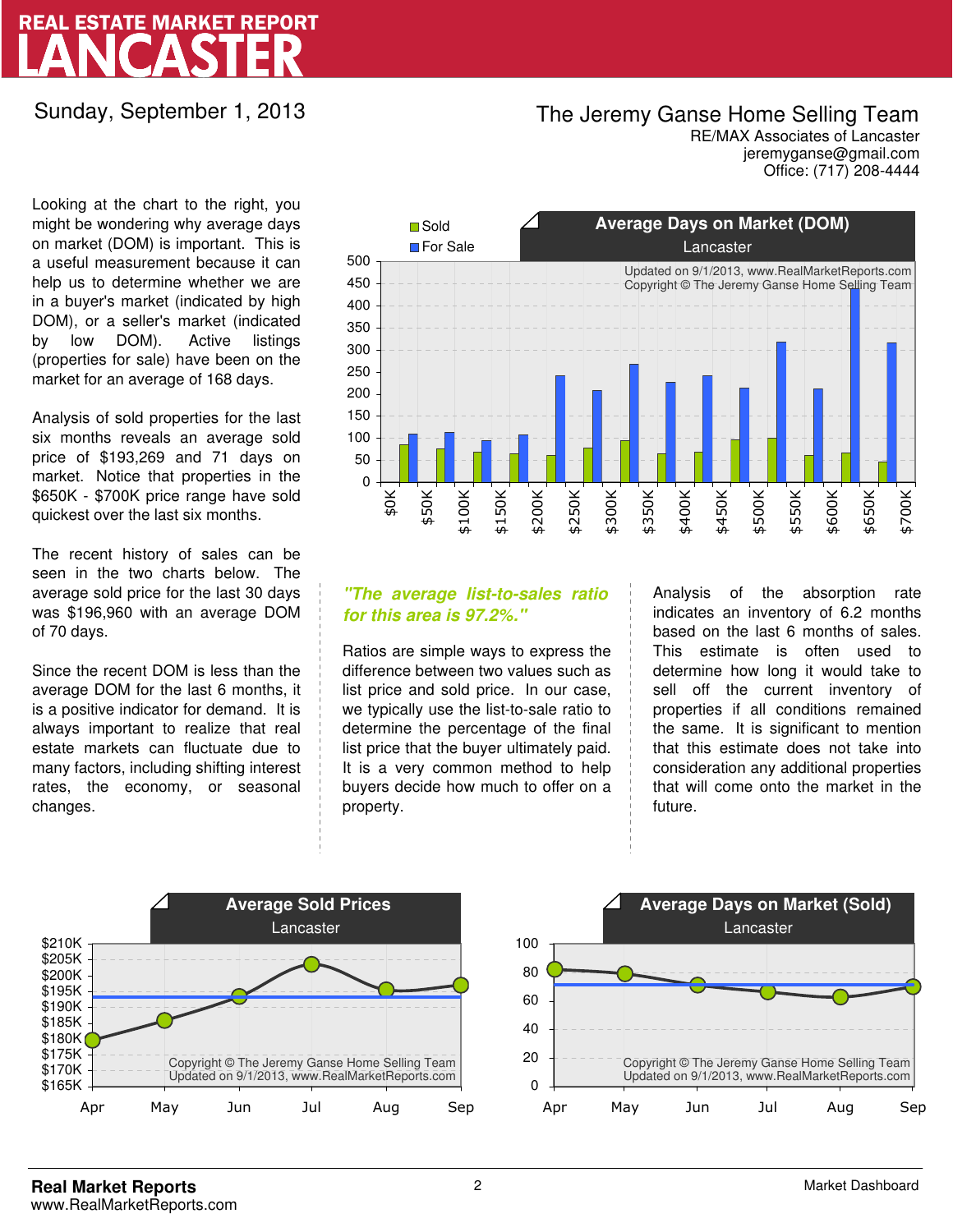# LANCASTER REAL ESTATE MARKET REPORT

Sunday, September 1, 2013

## The Jeremy Ganse Home Selling Team

jeremyganse@gmail.com RE/MAX Associates of Lancaster Office: (717) 208-4444

Looking at the chart to the right, you might be wondering why average days on market (DOM) is important. This is a useful measurement because it can help us to determine whether we are in a buyer's market (indicated by high DOM), or a seller's market (indicated by low DOM). Active listings (properties for sale) have been on the market for an average of 168 days.

Analysis of sold properties for the last six months reveals an average sold price of \$193,269 and 71 days on market. Notice that properties in the \$650K - \$700K price range have sold quickest over the last six months.

The recent history of sales can be seen in the two charts below. The average sold price for the last 30 days was \$196,960 with an average DOM of 70 days.

Since the recent DOM is less than the average DOM for the last 6 months, it is a positive indicator for demand. It is always important to realize that real estate markets can fluctuate due to many factors, including shifting interest rates, the economy, or seasonal changes.



### **"The average list-to-sales ratio for this area is 97.2%."**

Ratios are simple ways to express the difference between two values such as list price and sold price. In our case, we typically use the list-to-sale ratio to determine the percentage of the final list price that the buyer ultimately paid. It is a very common method to help buyers decide how much to offer on a property.

Analysis of the absorption rate indicates an inventory of 6.2 months based on the last 6 months of sales. This estimate is often used to determine how long it would take to sell off the current inventory of properties if all conditions remained the same. It is significant to mention that this estimate does not take into consideration any additional properties that will come onto the market in the future.



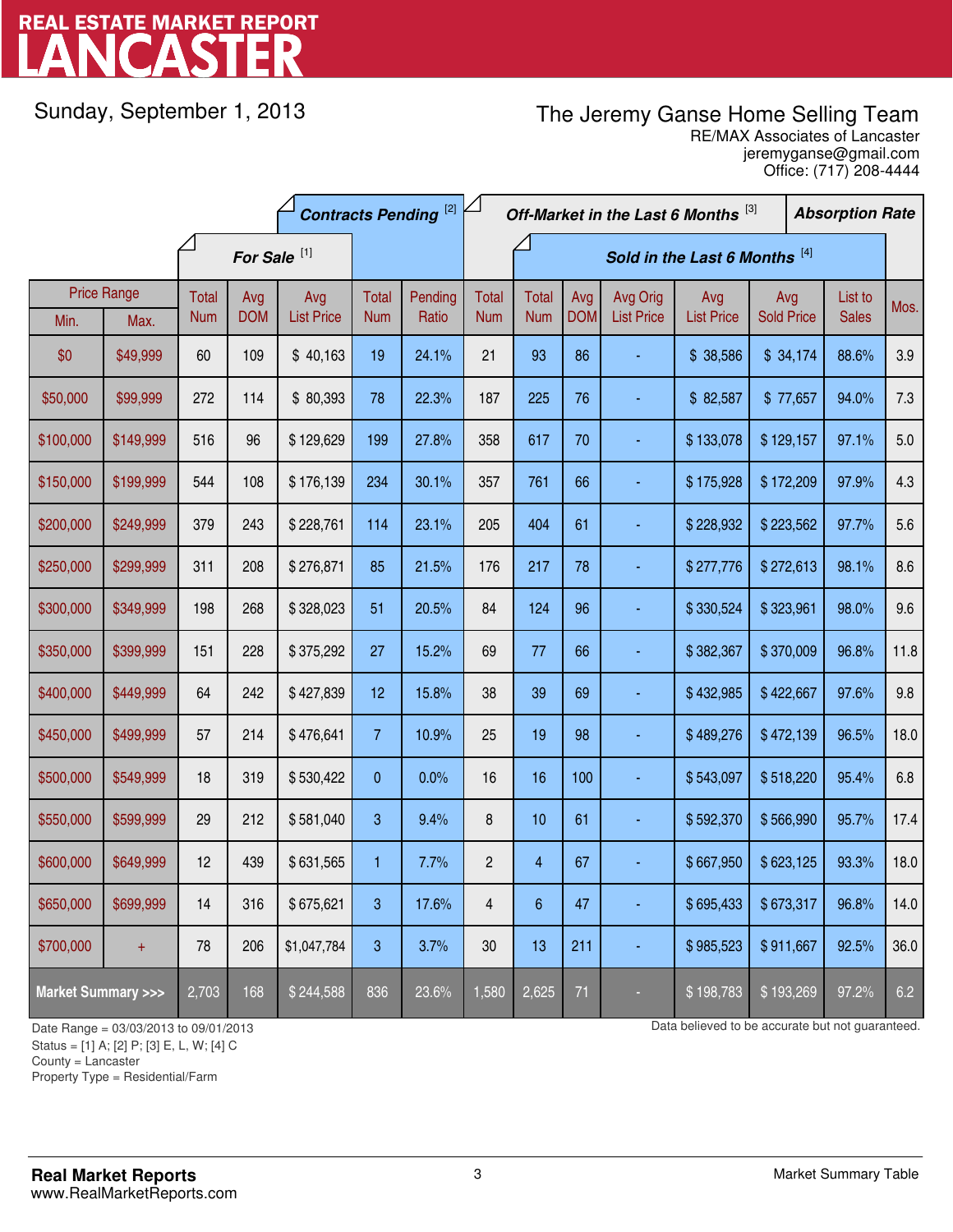# LANCASTER REAL ESTATE MARKET REPORT

Sunday, September 1, 2013

# The Jeremy Ganse Home Selling Team

jeremyganse@gmail.com RE/MAX Associates of Lancaster Office: (717) 208-4444

|                                    |                    | <b>Contracts Pending [2]</b> |                         |                   |                |         | Off-Market in the Last 6 Months [3] |                |            |                               |                   | <b>Absorption Rate</b> |  |              |      |
|------------------------------------|--------------------|------------------------------|-------------------------|-------------------|----------------|---------|-------------------------------------|----------------|------------|-------------------------------|-------------------|------------------------|--|--------------|------|
|                                    |                    |                              | For Sale <sup>[1]</sup> |                   |                |         |                                     |                |            | Sold in the Last 6 Months [4] |                   |                        |  |              |      |
|                                    | <b>Price Range</b> | <b>Total</b>                 | Avg                     | Avg               | <b>Total</b>   | Pending | Total                               | <b>Total</b>   | Avg        | Avg Orig                      | Avg               | Avg                    |  | List to      | Mos. |
| Min.                               | Max.               | <b>Num</b>                   | <b>DOM</b>              | <b>List Price</b> | <b>Num</b>     | Ratio   | <b>Num</b>                          | <b>Num</b>     | <b>DOM</b> | <b>List Price</b>             | <b>List Price</b> | <b>Sold Price</b>      |  | <b>Sales</b> |      |
| \$0                                | \$49,999           | 60                           | 109                     | \$40,163          | 19             | 24.1%   | 21                                  | 93             | 86         |                               | \$38,586          | \$34,174               |  | 88.6%        | 3.9  |
| \$50,000                           | \$99,999           | 272                          | 114                     | \$80,393          | 78             | 22.3%   | 187                                 | 225            | 76         |                               | \$82,587          | \$77,657               |  | 94.0%        | 7.3  |
| \$100,000                          | \$149,999          | 516                          | 96                      | \$129,629         | 199            | 27.8%   | 358                                 | 617            | 70         |                               | \$133,078         | \$129,157              |  | 97.1%        | 5.0  |
| \$150,000                          | \$199,999          | 544                          | 108                     | \$176,139         | 234            | 30.1%   | 357                                 | 761            | 66         |                               | \$175,928         | \$172,209              |  | 97.9%        | 4.3  |
| \$200,000                          | \$249,999          | 379                          | 243                     | \$228,761         | 114            | 23.1%   | 205                                 | 404            | 61         |                               | \$228,932         | \$223,562              |  | 97.7%        | 5.6  |
| \$250,000                          | \$299,999          | 311                          | 208                     | \$276,871         | 85             | 21.5%   | 176                                 | 217            | 78         |                               | \$277,776         | \$272,613              |  | 98.1%        | 8.6  |
| \$300,000                          | \$349,999          | 198                          | 268                     | \$328,023         | 51             | 20.5%   | 84                                  | 124            | 96         |                               | \$330,524         | \$323,961              |  | 98.0%        | 9.6  |
| \$350,000                          | \$399,999          | 151                          | 228                     | \$375,292         | 27             | 15.2%   | 69                                  | 77             | 66         |                               | \$382,367         | \$370,009              |  | 96.8%        | 11.8 |
| \$400,000                          | \$449,999          | 64                           | 242                     | \$427,839         | 12             | 15.8%   | 38                                  | 39             | 69         |                               | \$432,985         | \$422,667              |  | 97.6%        | 9.8  |
| \$450,000                          | \$499,999          | 57                           | 214                     | \$476,641         | $\overline{7}$ | 10.9%   | 25                                  | 19             | 98         |                               | \$489,276         | \$472,139              |  | 96.5%        | 18.0 |
| \$500,000                          | \$549,999          | 18                           | 319                     | \$530,422         | 0              | 0.0%    | 16                                  | 16             | 100        |                               | \$543,097         | \$518,220              |  | 95.4%        | 6.8  |
| \$550,000                          | \$599,999          | 29                           | 212                     | \$581,040         | 3              | 9.4%    | 8                                   | 10             | 61         |                               | \$592,370         | \$566,990              |  | 95.7%        | 17.4 |
| \$600,000                          | \$649,999          | 12                           | 439                     | \$631,565         | 1              | 7.7%    | $\overline{c}$                      | $\overline{4}$ | 67         |                               | \$667,950         | \$623,125              |  | 93.3%        | 18.0 |
| \$650,000                          | \$699,999          | 14                           | 316                     | \$675,621         | 3              | 17.6%   | $\overline{\mathbf{4}}$             | $6\phantom{a}$ | 47         |                               | \$695,433         | \$673,317              |  | 96.8%        | 14.0 |
| \$700,000                          | $+$                | 78                           | 206                     | \$1,047,784       | 3              | 3.7%    | 30 <sup>°</sup>                     | 13             | 211        |                               | \$985,523         | \$911,667              |  | 92.5%        | 36.0 |
| <b>Market Summary &gt;&gt;&gt;</b> |                    | 2,703                        | 168                     | \$244,588         | 836            | 23.6%   | 1,580                               | 2,625          | 71         |                               | \$198,783         | \$193,269              |  | 97.2%        | 6.2  |

Status = [1] A; [2] P; [3] E, L, W; [4] C

County = Lancaster

1

Property Type = Residential/Farm

Date Range = 03/03/2013 to 09/01/2013 Data believed to be accurate but not guaranteed.